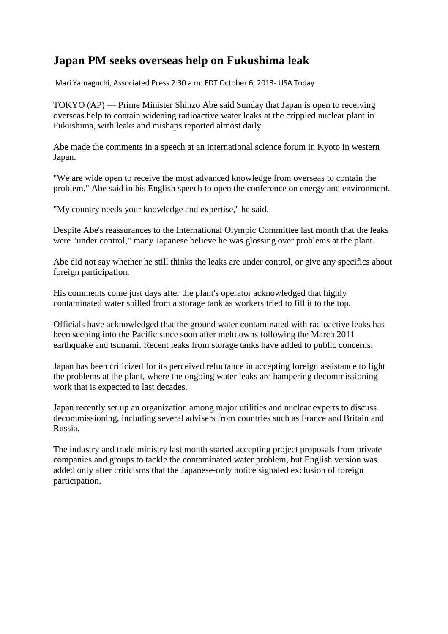## **Japan PM seeks overseas help on Fukushima leak**

Mari Yamaguchi, Associated Press 2:30 a.m. EDT October 6, 2013- USA Today

TOKYO (AP) — Prime Minister Shinzo Abe said Sunday that Japan is open to receiving overseas help to contain widening radioactive water leaks at the crippled nuclear plant in Fukushima, with leaks and mishaps reported almost daily.

Abe made the comments in a speech at an international science forum in Kyoto in western Japan.

"We are wide open to receive the most advanced knowledge from overseas to contain the problem," Abe said in his English speech to open the conference on energy and environment.

"My country needs your knowledge and expertise," he said.

Despite Abe's reassurances to the International Olympic Committee last month that the leaks were "under control," many Japanese believe he was glossing over problems at the plant.

Abe did not say whether he still thinks the leaks are under control, or give any specifics about foreign participation.

His comments come just days after the plant's operator acknowledged that highly contaminated water spilled from a storage tank as workers tried to fill it to the top.

Officials have acknowledged that the ground water contaminated with radioactive leaks has been seeping into the Pacific since soon after meltdowns following the March 2011 earthquake and tsunami. Recent leaks from storage tanks have added to public concerns.

Japan has been criticized for its perceived reluctance in accepting foreign assistance to fight the problems at the plant, where the ongoing water leaks are hampering decommissioning work that is expected to last decades.

Japan recently set up an organization among major utilities and nuclear experts to discuss decommissioning, including several advisers from countries such as France and Britain and Russia.

The industry and trade ministry last month started accepting project proposals from private companies and groups to tackle the contaminated water problem, but English version was added only after criticisms that the Japanese-only notice signaled exclusion of foreign participation.